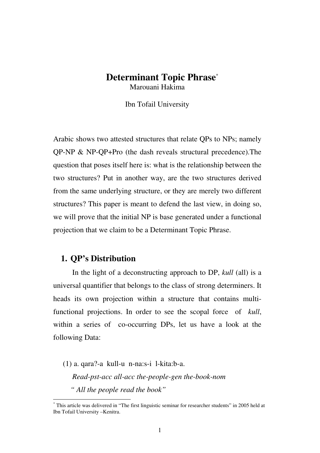# **Determinant Topic Phrase**\* Marouani Hakima

Ibn Tofail University

Arabic shows two attested structures that relate QPs to NPs; namely QP-NP & NP-QP+Pro (the dash reveals structural precedence).The question that poses itself here is: what is the relationship between the two structures? Put in another way, are the two structures derived from the same underlying structure, or they are merely two different structures? This paper is meant to defend the last view, in doing so, we will prove that the initial NP is base generated under a functional projection that we claim to be a Determinant Topic Phrase.

#### **1. QP's Distribution**

 $\overline{a}$ 

 In the light of a deconstructing approach to DP, *kull* (all) is a universal quantifier that belongs to the class of strong determiners. It heads its own projection within a structure that contains multifunctional projections. In order to see the scopal force of *kull*, within a series of co-occurring DPs, let us have a look at the following Data:

(1) a. qara?-a kull-u n-na:s-i l-kita:b-a.  *Read-pst-acc all-acc the-people-gen the-book-nom " All the people read the book"* 

<sup>\*</sup> This article was delivered in "The first linguistic seminar for researcher students" in 2005 held at Ibn Tofail University –Kenitra.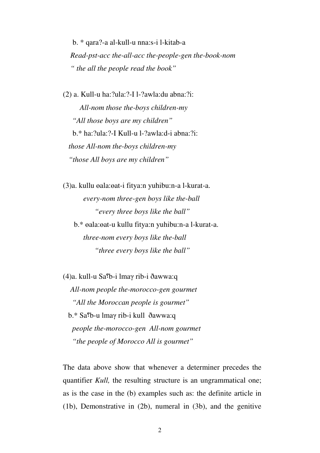b. \* qara?-a al-kull-u nna:s-i l-kitab-a  *Read-pst-acc the-all-acc the-people-gen the-book-nom " the all the people read the book"* 

(2) a. Kull-u ha:?ula:?-I l-?awla:du abna:?i: *All-nom those the-boys children-my "All those boys are my children"*  b.\* ha:?ula:?-I Kull-u l-?awla:d-i abna:?i:  *those All-nom the-boys children-my "those All boys are my children"* 

(3)a. kullu oala: oat-i fitya: n yuhibu: n-a l-kurat-a.  *every-nom three-gen boys like the-ball "every three boys like the ball"*  b.\* ala:at-u kullu fitya:n yuhibu:n-a l-kurat-a.

 *three-nom every boys like the-ball "three every boys like the ball"* 

(4)a. kull-u Sa؟b-i lmaγ rib-i ðawwa:q  *All-nom people the-morocco-gen gourmet "All the Moroccan people is gourmet"*  b.\* Sa؟b-u lmaγ rib-i kull ðawwa:q  *people the-morocco-gen All-nom gourmet "the people of Morocco All is gourmet"* 

The data above show that whenever a determiner precedes the quantifier *Kull*, the resulting structure is an ungrammatical one; as is the case in the (b) examples such as: the definite article in (1b), Demonstrative in (2b), numeral in (3b), and the genitive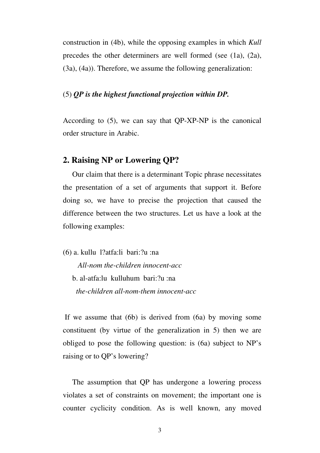construction in (4b), while the opposing examples in which *Kull* precedes the other determiners are well formed (see (1a), (2a), (3a), (4a)). Therefore, we assume the following generalization:

#### (5) *QP is the highest functional projection within DP.*

According to (5), we can say that QP-XP-NP is the canonical order structure in Arabic.

# **2. Raising NP or Lowering QP?**

 Our claim that there is a determinant Topic phrase necessitates the presentation of a set of arguments that support it. Before doing so, we have to precise the projection that caused the difference between the two structures. Let us have a look at the following examples:

(6) a. kullu l?atfa:li bari:?u :na

 *All-nom the-children innocent-acc*  b. al-atfa:lu kulluhum bari:?u :na  *the-children all-nom-them innocent-acc* 

 If we assume that (6b) is derived from (6a) by moving some constituent (by virtue of the generalization in 5) then we are obliged to pose the following question: is (6a) subject to NP's raising or to QP's lowering?

 The assumption that QP has undergone a lowering process violates a set of constraints on movement; the important one is counter cyclicity condition. As is well known, any moved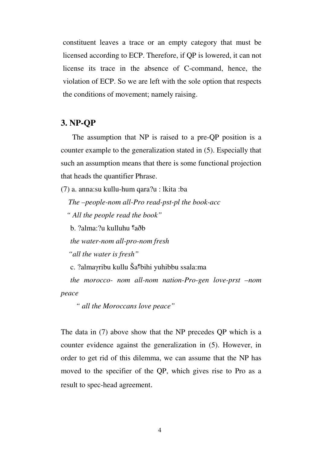constituent leaves a trace or an empty category that must be licensed according to ECP. Therefore, if QP is lowered, it can not license its trace in the absence of C-command, hence, the violation of ECP. So we are left with the sole option that respects the conditions of movement; namely raising.

#### **3. NP-QP**

 The assumption that NP is raised to a pre-QP position is a counter example to the generalization stated in (5). Especially that such an assumption means that there is some functional projection that heads the quantifier Phrase.

(7) a. anna:su kullu-hum qara?u : lkita :ba  *The –people-nom all-Pro read-pst-pl the book-acc " All the people read the book"*  b. ?alma:?u kulluhu ؟aðb *the water-nom all-pro-nom fresh "all the water is fresh"*  c. ?almaγribu kullu Ša؟bihi yuhibbu ssala:ma *the morocco- nom all-nom nation-Pro-gen love-prst –nom peace* 

 *" all the Moroccans love peace"* 

The data in (7) above show that the NP precedes QP which is a counter evidence against the generalization in (5). However, in order to get rid of this dilemma, we can assume that the NP has moved to the specifier of the QP, which gives rise to Pro as a result to spec-head agreement.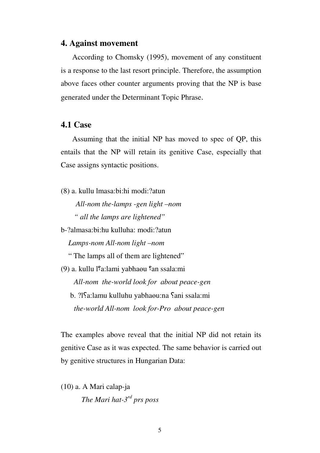#### **4. Against movement**

 According to Chomsky (1995), movement of any constituent is a response to the last resort principle. Therefore, the assumption above faces other counter arguments proving that the NP is base generated under the Determinant Topic Phrase.

## **4.1 Case**

 Assuming that the initial NP has moved to spec of QP, this entails that the NP will retain its genitive Case, especially that Case assigns syntactic positions.

(8) a. kullu lmasa:bi:hi modi:?atun  *All-nom the-lamps -gen light –nom " all the lamps are lightened"*  b-?almasa:bi:hu kulluha: modi:?atun *Lamps-nom All-nom light –nom*  " The lamps all of them are lightened" (9) a. kullu l<sup>o</sup>a:lami yabhaou <sup>o</sup>an ssala:mi *All-nom the-world look for about peace-gen*  b. ?ISa:lamu kulluhu yabhaou:na Sani ssala:mi *the-world All-nom look for-Pro about peace-gen* 

The examples above reveal that the initial NP did not retain its genitive Case as it was expected. The same behavior is carried out by genitive structures in Hungarian Data:

(10) a. A Mari calap-ja *The Mari hat-3rd prs poss*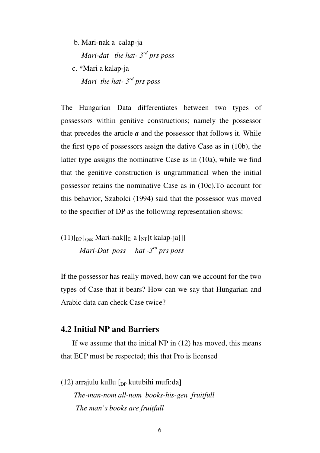b. Mari-nak a calap-ja  *Mari-dat the hat- 3rd prs poss*  c. \*Mari a kalap-ja  *Mari the hat- 3rd prs poss* 

The Hungarian Data differentiates between two types of possessors within genitive constructions; namely the possessor that precedes the article  $a$  and the possessor that follows it. While the first type of possessors assign the dative Case as in (10b), the latter type assigns the nominative Case as in (10a), while we find that the genitive construction is ungrammatical when the initial possessor retains the nominative Case as in (10c).To account for this behavior, Szabolci (1994) said that the possessor was moved to the specifier of DP as the following representation shows:

 $(11)$ [<sub>DP</sub>[<sub>spec</sub> Mari-nak][<sub>D</sub> a [<sub>NP</sub>[t kalap-ja]]]  *Mari-Dat poss hat -3rd prs poss* 

If the possessor has really moved, how can we account for the two types of Case that it bears? How can we say that Hungarian and Arabic data can check Case twice?

# **4.2 Initial NP and Barriers**

 If we assume that the initial NP in (12) has moved, this means that ECP must be respected; this that Pro is licensed

(12) arrajulu kullu  $\lceil_{DP}$  kutubihi mufi:da]  *The-man-nom all-nom books-his-gen fruitfull The man's books are fruitfull*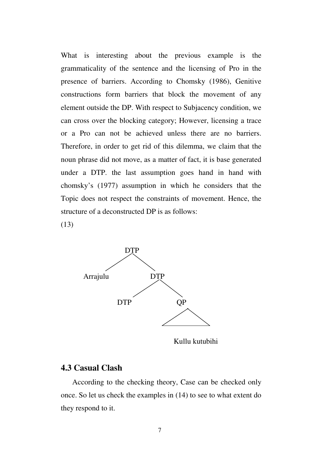What is interesting about the previous example is the grammaticality of the sentence and the licensing of Pro in the presence of barriers. According to Chomsky (1986), Genitive constructions form barriers that block the movement of any element outside the DP. With respect to Subjacency condition, we can cross over the blocking category; However, licensing a trace or a Pro can not be achieved unless there are no barriers. Therefore, in order to get rid of this dilemma, we claim that the noun phrase did not move, as a matter of fact, it is base generated under a DTP. the last assumption goes hand in hand with chomsky's (1977) assumption in which he considers that the Topic does not respect the constraints of movement. Hence, the structure of a deconstructed DP is as follows:

(13)



Kullu kutubihi

### **4.3 Casual Clash**

 According to the checking theory, Case can be checked only once. So let us check the examples in (14) to see to what extent do they respond to it.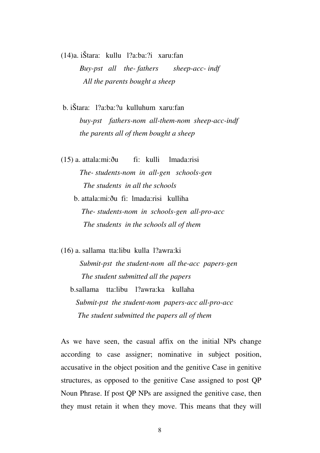(14)a. iŠtara: kullu l?a:ba:?i xaru:fan  *Buy-pst all the- fathers sheep-acc- indf All the parents bought a sheep* 

 b. iŠtara: l?a:ba:?u kulluhum xaru:fan  *buy-pst fathers-nom all-them-nom sheep-acc-indf the parents all of them bought a sheep* 

(15) a. attala:mi:ðu fi: kulli lmada:risi *The- students-nom in all-gen schools-gen The students in all the schools* 

 b. attala:mi:ðu fi: lmada:risi kulliha *The- students-nom in schools-gen all-pro-acc The students in the schools all of them* 

(16) a. sallama tta:libu kulla l?awra:ki  *Submit-pst the student-nom all the-acc papers-gen The student submitted all the papers*  b.sallama tta:libu l?awra:ka kullaha  *Submit-pst the student-nom papers-acc all-pro-acc The student submitted the papers all of them* 

As we have seen, the casual affix on the initial NPs change according to case assigner; nominative in subject position, accusative in the object position and the genitive Case in genitive structures, as opposed to the genitive Case assigned to post QP Noun Phrase. If post QP NPs are assigned the genitive case, then they must retain it when they move. This means that they will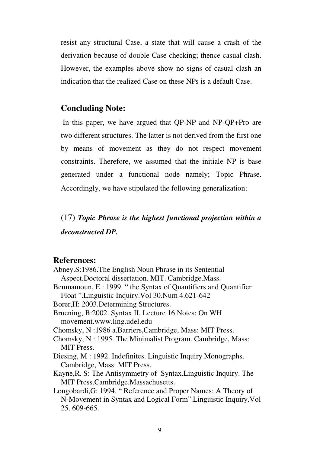resist any structural Case, a state that will cause a crash of the derivation because of double Case checking; thence casual clash. However, the examples above show no signs of casual clash an indication that the realized Case on these NPs is a default Case.

# **Concluding Note:**

In this paper, we have argued that QP-NP and NP-QP+Pro are two different structures. The latter is not derived from the first one by means of movement as they do not respect movement constraints. Therefore, we assumed that the initiale NP is base generated under a functional node namely; Topic Phrase. Accordingly, we have stipulated the following generalization:

(17) *Topic Phrase is the highest functional projection within a deconstructed DP.* 

### **References:**

25. 609-665.

Abney.S:1986.The English Noun Phrase in its Sentential Aspect.Doctoral dissertation. MIT. Cambridge.Mass. Benmamoun, E : 1999. " the Syntax of Quantifiers and Quantifier Float ".Linguistic Inquiry.Vol 30.Num 4.621-642 Borer,H: 2003.Determining Structures. Bruening, B:2002. Syntax II, Lecture 16 Notes: On WH movement.www.ling.udel.edu Chomsky, N :1986 a.Barriers,Cambridge, Mass: MIT Press. Chomsky, N : 1995. The Minimalist Program. Cambridge, Mass: MIT Press. Diesing, M : 1992. Indefinites. Linguistic Inquiry Monographs. Cambridge, Mass: MIT Press. Kayne,R. S: The Antisymmetry of Syntax.Linguistic Inquiry. The MIT Press.Cambridge.Massachusetts. Longobardi,G: 1994. " Reference and Proper Names: A Theory of N-Movement in Syntax and Logical Form".Linguistic Inquiry.Vol